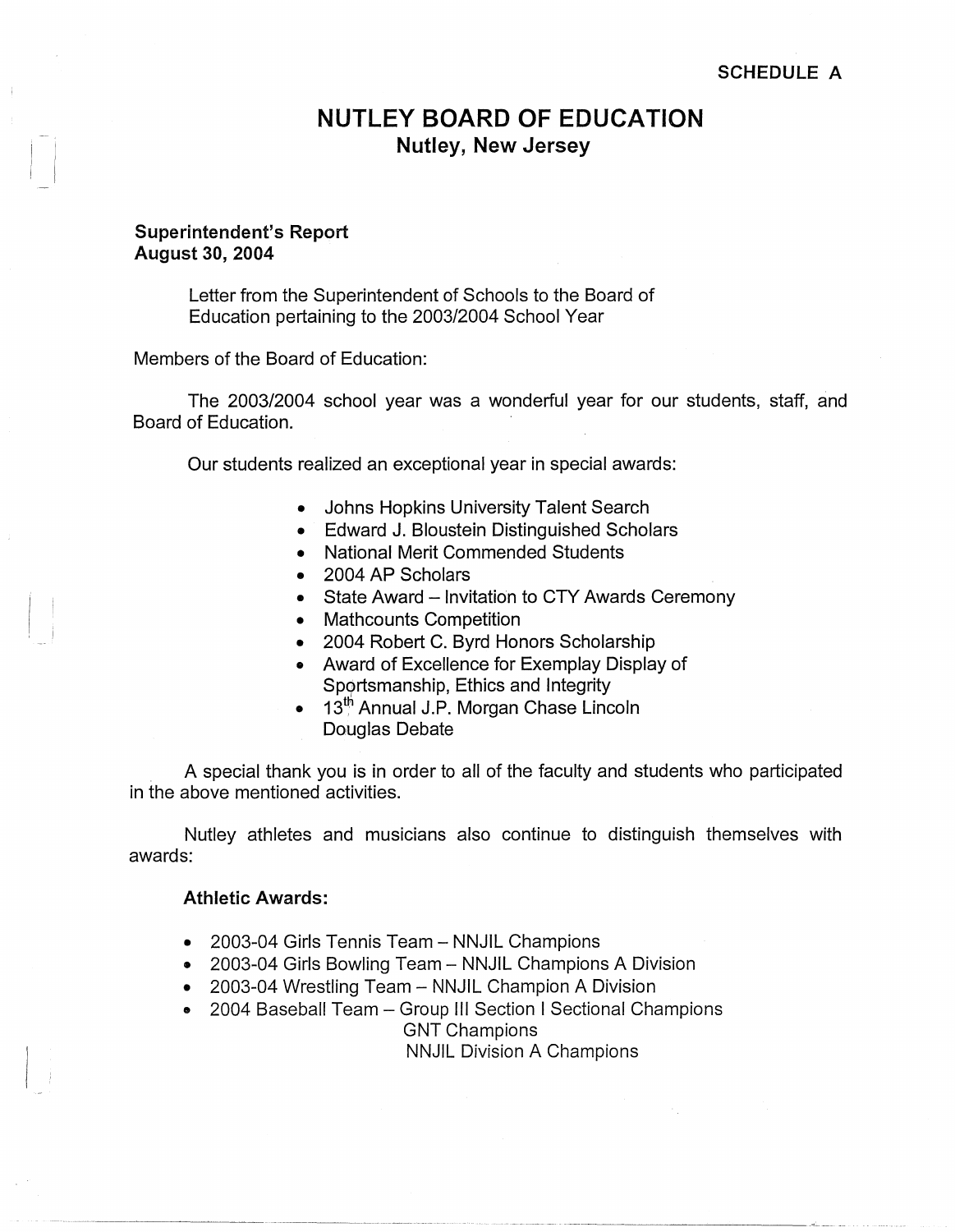# **NUTLEY BOARD OF EDUCATION Nutley, New Jersey**

### **Superintendent's Report August 30, 2004**

 $\overline{\phantom{a}}$ 

 $\begin{smallmatrix} 1 & 1 \\ 1 & 1 \end{smallmatrix}$ ' I

Letter from the Superintendent of Schools to the Board of Education pertaining to the 2003/2004 School Year

Members of the Board of Education:

The 2003/2004 school year was a wonderful year for our students, staff, and Board of Education.

Our students realized an exceptional year in special awards:

- Johns Hopkins University Talent Search
- Edward J. Bloustein Distinguished Scholars
- National Merit Commended Students
- 2004 AP Scholars
- State Award Invitation to CTY Awards Ceremony
- Mathcounts Competition
- 2004 Robert C. Byrd Honors Scholarship
- Award of Excellence for Exemplay Display of Sp9rtsmanship, Ethics and Integrity
- 13<sup>th</sup> Annual J.P. Morgan Chase Lincoln
	- Douglas Debate

A special thank you is in order to all of the faculty and students who participated in the above mentioned activities.

Nutley athletes and musicians also continue to distinguish themselves with awards:

## **Athletic Awards:**

- 2003-04 Girls Tennis Team NNJIL Champions
- 2003-04 Girls Bowling Team NNJIL Champions A Division
- 2003-04 Wrestling Team NNJIL Champion A Division
- 2004 Baseball Team Group III Section I Sectional Champions GNT Champions

NNJIL Division A Champions

----- ---- ------~-~-~--···-·-··- -----~--------- --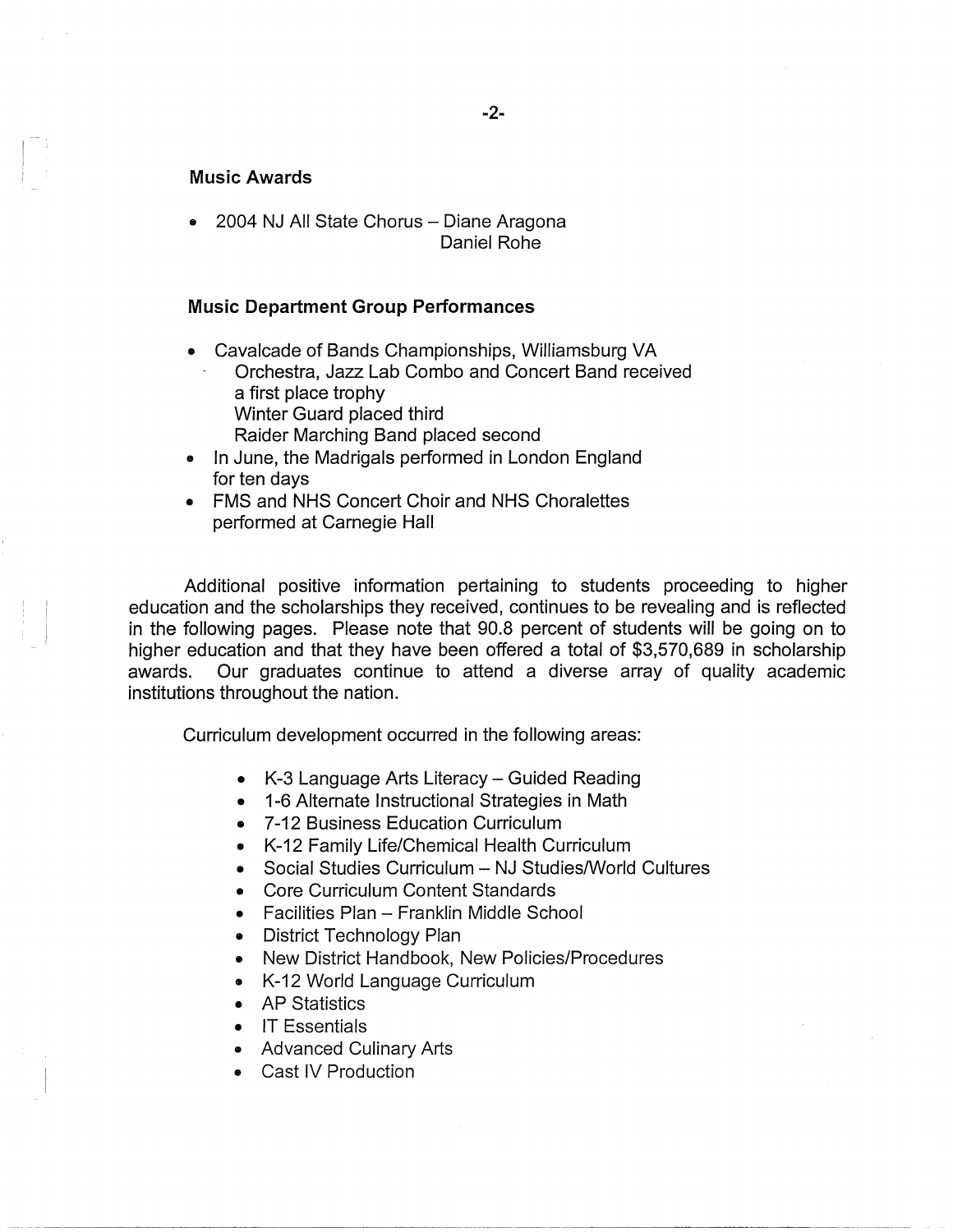#### **Music Awards**

• 2004 NJ All State Chorus - Diane Aragona Daniel Rohe

### **Music Department Group Performances**

- Cavalcade of Bands Championships, Williamsburg VA Orchestra, Jazz Lab Combo and Concert Band received a first place trophy Winter Guard placed third Raider Marching Band placed second
- In June, the Madrigals performed in London England for ten days
- FMS and NHS Concert Choir and NHS Choralettes performed at Carnegie Hall

Additional positive information pertaining to students proceeding to higher education and the scholarships they received, continues to be revealing and is reflected in the following pages. Please note that 90.8 percent of students will be going on to higher education and that they have been offered a total of \$3,570,689 in scholarship awards. Our graduates continue to attend a diverse array of quality academic institutions throughout the nation.

Curriculum development occurred in the following areas:

- K-3 Language Arts Literacy Guided Reading
- 1-6 Alternate Instructional Strategies in Math
- 7-12 Business Education Curriculum
- K-12 Family Life/Chemical Health Curriculum
- Social Studies Curriculum NJ Studies/World Cultures

·---------------~-------

- Core Curriculum Content Standards
- Facilities Plan Franklin Middle School
- District Technology Plan
- New District Handbook, New Policies/Procedures
- K-12 World Language Curriculum
- AP Statistics
- IT Essentials
- Advanced Culinary Arts
- Cast IV Production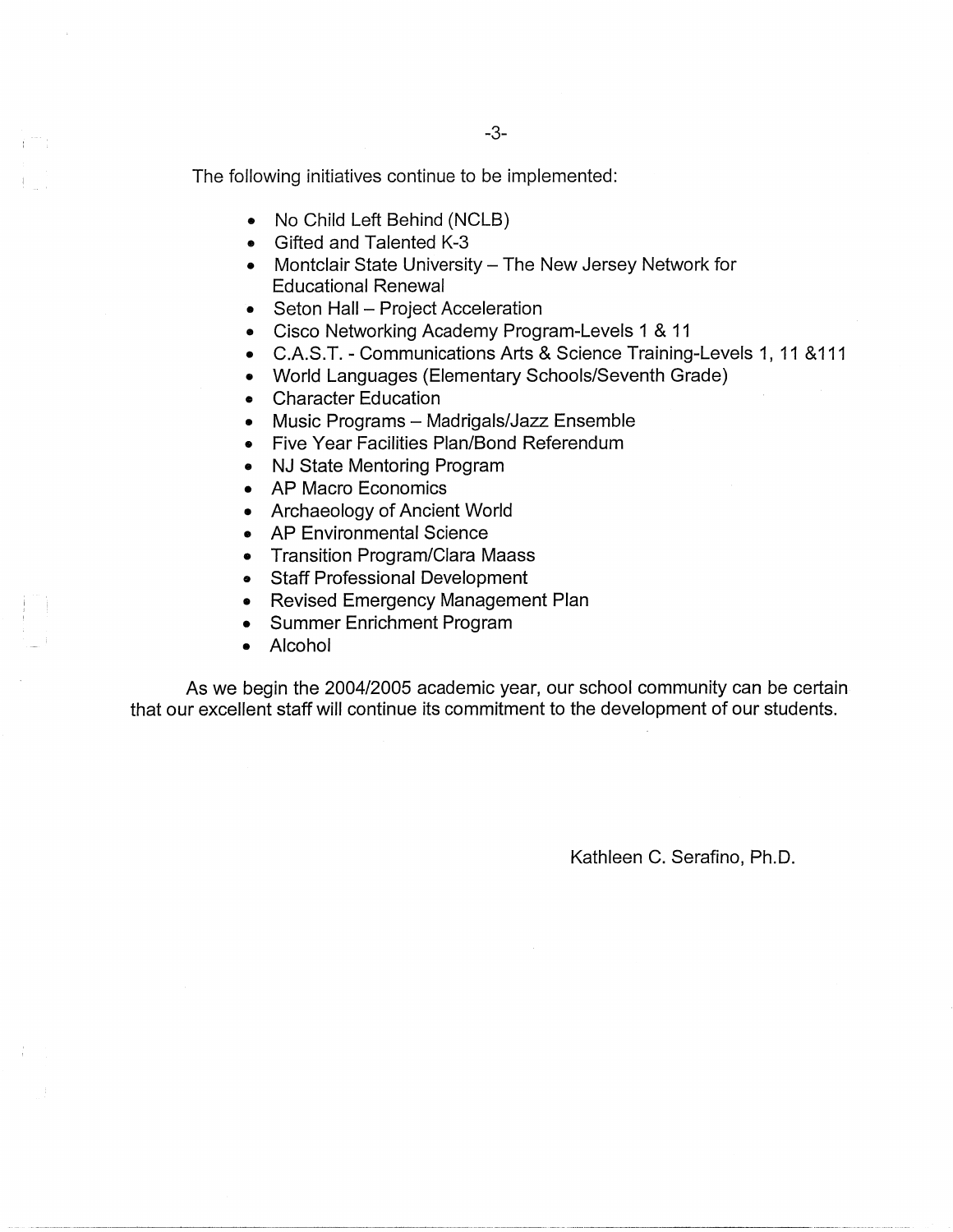The following initiatives continue to be implemented:

- No Child Left Behind (NCLB)
- Gifted and Talented K-3
- Montclair State University The New Jersey Network for Educational Renewal
- Seton Hall Project Acceleration
- Cisco Networking Academy Program-Levels 1 & 11
- C.A.S.T. Communications Arts & Science Training-Levels 1, 11 &111
- World Languages (Elementary Schools/Seventh Grade)
- Character Education
- Music Programs Madrigals/Jazz Ensemble
- Five Year Facilities Plan/Bond Referendum
- NJ State Mentoring Program
- AP Macro Economics
- Archaeology of Ancient World
- AP Environmental Science
- Transition Program/Clara Maass
- Staff Professional Development
- Revised Emergency Management Plan
- Summer Enrichment Program
- Alcohol

As we begin the 2004/2005 academic year, our school community can be certain that our excellent staff will continue its commitment to the development of our students.

Kathleen C. Serafino, Ph.D.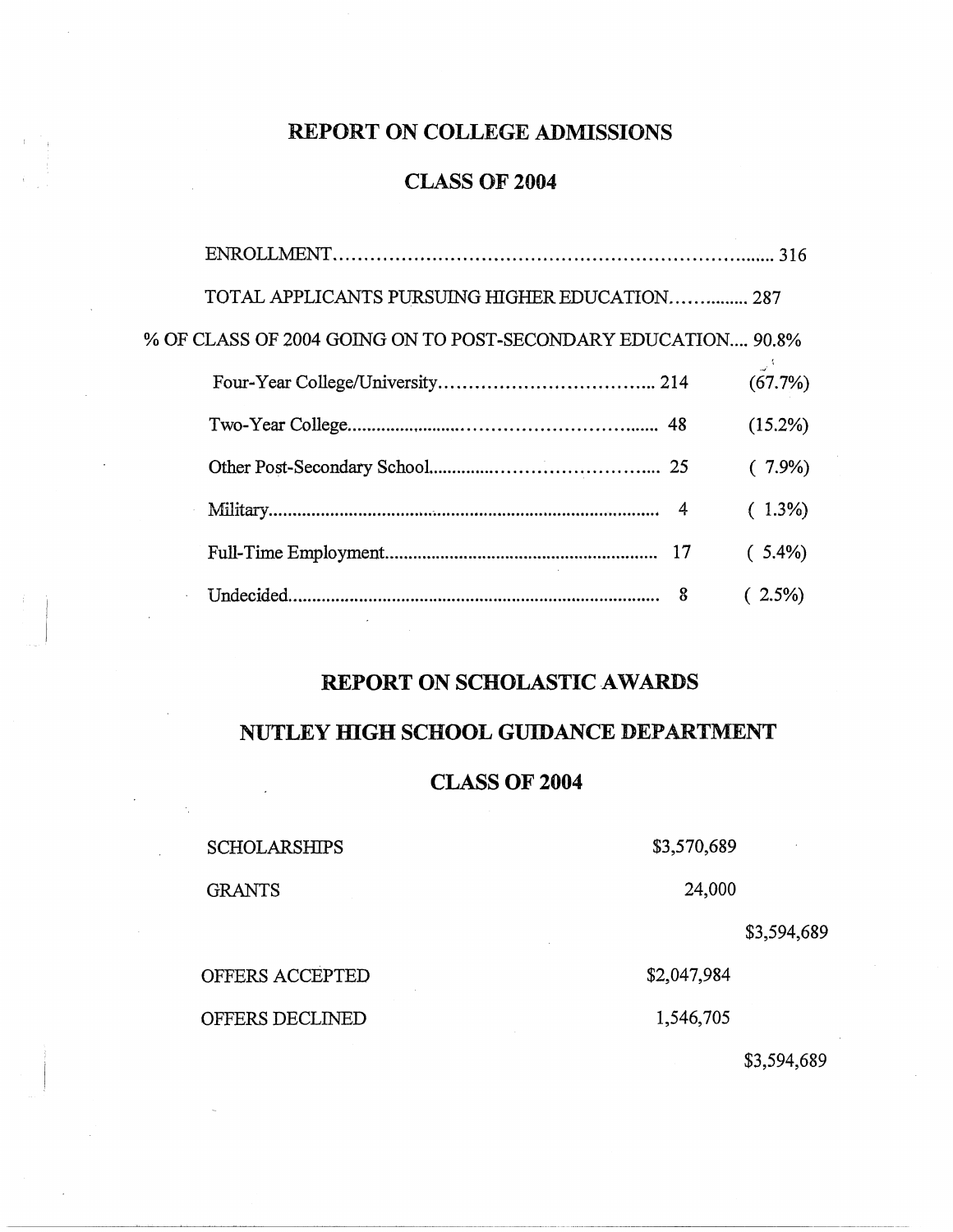# **REPORT ON COLLEGE ADMISSIONS**

# **CLASS OF 2004**

| TOTAL APPLICANTS PURSUING HIGHER EDUCATION 287                |   |            |
|---------------------------------------------------------------|---|------------|
| % OF CLASS OF 2004 GOING ON TO POST-SECONDARY EDUCATION 90.8% |   |            |
|                                                               |   | (67.7%)    |
|                                                               |   | $(15.2\%)$ |
|                                                               |   | $(7.9\%)$  |
|                                                               |   | $(1.3\%)$  |
|                                                               |   | $(5.4\%)$  |
|                                                               | 8 | $(2.5\%)$  |
|                                                               |   |            |

# **REPORT ON SCHOLASTIC AWARDS**

## **NUTLEY HIGH SCHOOL GUIDANCE DEPARTMENT**

## **CLASS OF 2004**

SCHOLARSHIPS \$3,570,689 GRANTS 24,000 \$3,594,689

## \$3,594,689

OFFERS ACCEPTED \$2,047,984

OFFERS DECLINED 1,546,705

-----~-~~--------- ------ ------------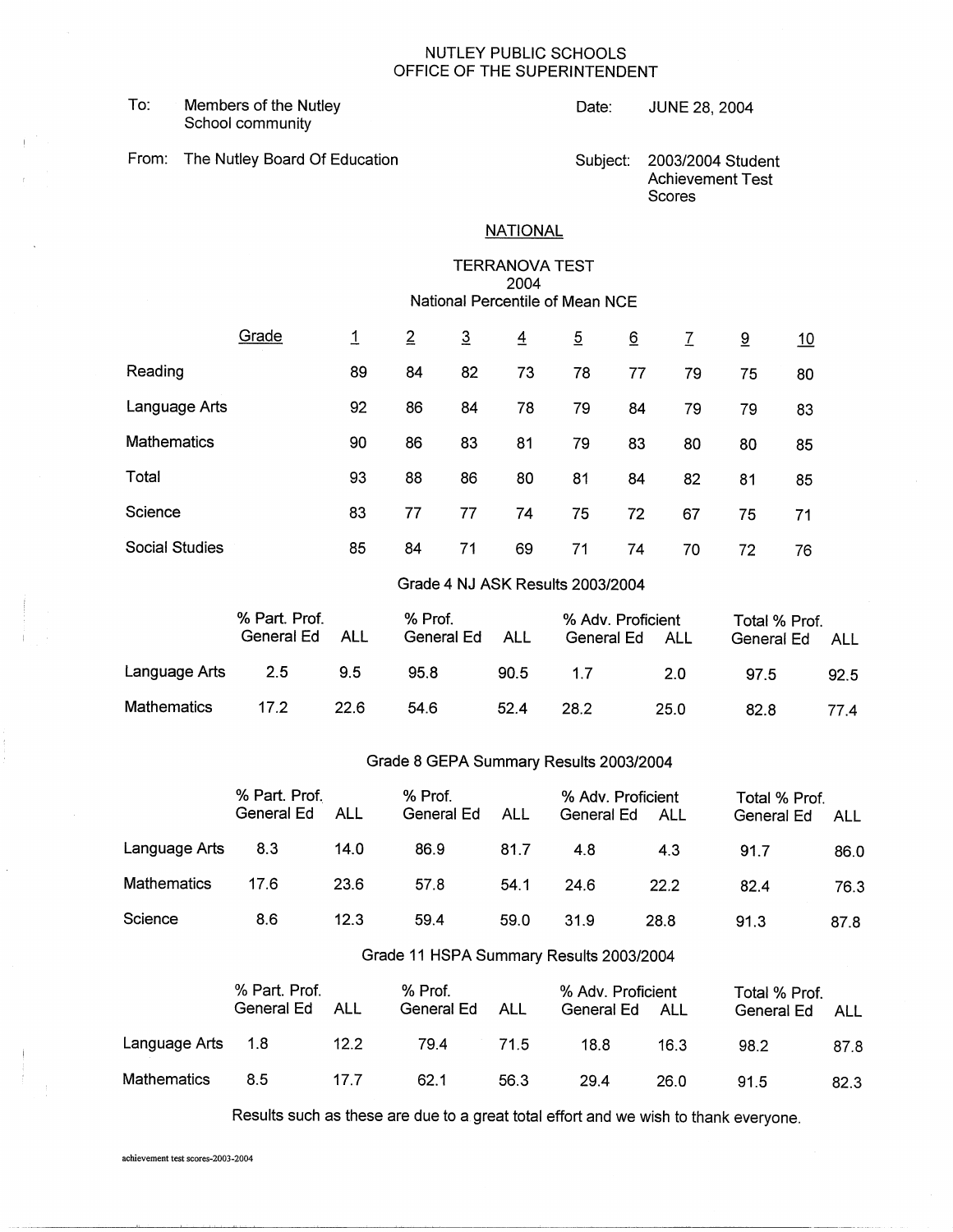#### NUTLEY PUBLIC SCHOOLS OFFICE OF THE SUPERINTENDENT

To: Members of the Nutley **Date:** Date: JUNE 28, 2004 School community

From: The Nutley Board Of Education Subject: 2003/2004 Student

Achievement Test Scores

### **NATIONAL**

#### TERRANOVA TEST 2004 National Percentile of Mean NCE

|                    | Grade | 1  | $\overline{2}$ | $\overline{3}$ | $\overline{4}$ | $\overline{5}$ | 6  | $\overline{1}$ | $\overline{9}$ | <u> 10</u> |
|--------------------|-------|----|----------------|----------------|----------------|----------------|----|----------------|----------------|------------|
| Reading            |       | 89 | 84             | 82             | 73             | 78             | 77 | 79             | 75             | 80         |
| Language Arts      |       | 92 | 86             | 84             | 78             | 79             | 84 | 79             | 79             | 83         |
| <b>Mathematics</b> |       | 90 | 86             | 83             | 81             | 79             | 83 | 80             | 80             | 85         |
| Total              |       | 93 | 88             | 86             | 80             | 81             | 84 | 82             | 81             | 85         |
| Science            |       | 83 | 77             | 77             | 74             | 75             | 72 | 67             | 75             | 71         |
| Social Studies     |       | 85 | 84             | 71             | 69             | 71             | 74 | 70             | 72             | 76         |

#### Grade 4 NJ ASK Results 2003/2004

|                    | % Part. Prof.<br>General Ed | ALL  | % Prof.<br>General Ed | ALL  | % Adv. Proficient<br>General Ed | ALL  | Total % Prof.<br>General Ed | ALL  |
|--------------------|-----------------------------|------|-----------------------|------|---------------------------------|------|-----------------------------|------|
| Language Arts      | 2.5                         | 9.5  | 95.8                  | 90.5 | 17                              | -2.0 | 97.5                        | 92.5 |
| <b>Mathematics</b> | 17.2                        | 22.6 | 54.6                  | 52.4 | 28.2                            | 25.0 | 82.8                        | 77 4 |

### Grade 8 GEPA Summary Results 2003/2004

|                    | % Part. Prof.<br>General Ed | ALL  | % Prof.<br>General Ed                                            | ALL  | % Adv. Proficient<br>General Ed | ALL  | Total % Prof.<br>General Ed | ALL  |
|--------------------|-----------------------------|------|------------------------------------------------------------------|------|---------------------------------|------|-----------------------------|------|
| Language Arts      | 8.3                         | 14.0 | 86.9                                                             | 81.7 | 4.8                             | 4.3  | 91.7                        | 86.0 |
| <b>Mathematics</b> | 17.6                        | 23.6 | 57.8                                                             | 54.1 | 24.6                            | 22.2 | 82.4                        | 76.3 |
| Science            | 8.6                         | 12.3 | 59.4                                                             | 59.0 | 31.9                            | 28.8 | 91.3                        | 87.8 |
|                    |                             |      | $O_{\text{model}}$ (4.110DA $O_{\text{model}}$ , D. 4. 0000 0004 |      |                                 |      |                             |      |

#### Grade 11 HSPA Summary Results 2003/2004

|                    | % Part. Prof.<br>General Ed | ALL  | % Prof.<br>General Ed | ALL  | % Adv. Proficient<br>General Ed | ALL  | Total % Prof.<br>General Ed | ALL  |
|--------------------|-----------------------------|------|-----------------------|------|---------------------------------|------|-----------------------------|------|
| Language Arts 1.8  |                             | 12.2 | 79.4                  | 71.5 | 18.8                            | 16.3 | 98.2                        | 87.8 |
| <b>Mathematics</b> | 8.5                         | 17 7 | 62.1                  | 56.3 | 29.4                            | 26.0 | 91.5                        | 82.3 |

Results such as these are due to a great total effort and we wish to thank everyone.

achievement test scores-2003-2004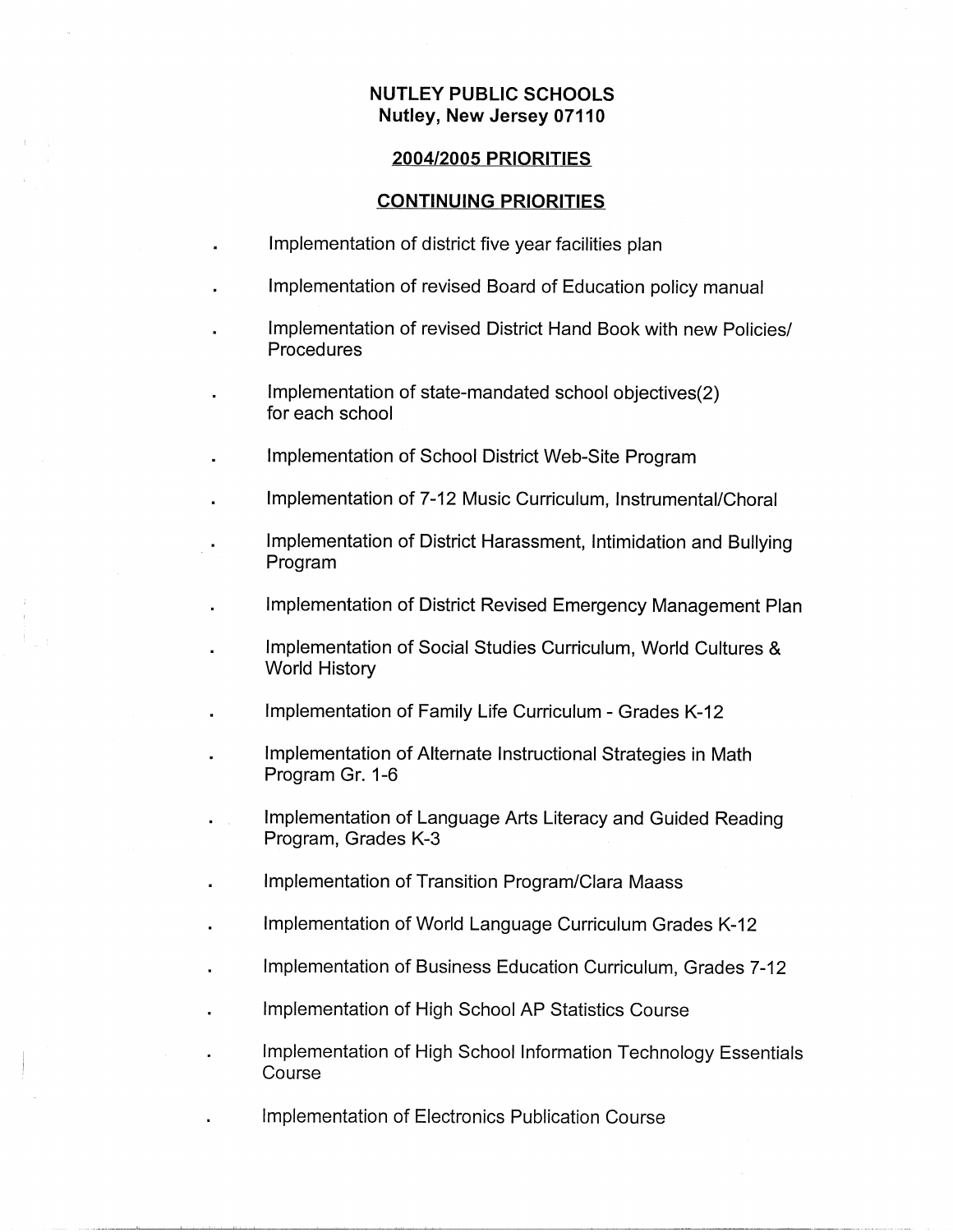## **NUTLEY PUBLIC SCHOOLS Nutley, New Jersey 07110**

### **2004/2005 PRIORITIES**

### **CONTINUING PRIORITIES**

- Implementation of district five year facilities plan
- Implementation of revised Board of Education policy manual
- Implementation of revised District Hand Book with new Policies/ Procedures
- Implementation of state-mandated school objectives(2) for each school
- Implementation of School District Web-Site Program
- Implementation of 7-12 Music Curriculum, Instrumental/Choral
- Implementation of District Harassment, Intimidation and Bullying Program
- Implementation of District Revised Emergency Management Plan
- Implementation of Social Studies Curriculum, World Cultures & World History
- Implementation of Family Life Curriculum Grades K-12
- Implementation of Alternate Instructional Strategies in Math Program Gr. 1-6
- Implementation of Language Arts Literacy and Guided Reading Program, Grades K-3
- Implementation of Transition Program/Clara Maass
- Implementation of World Language Curriculum Grades K-12
- Implementation of Business Education Curriculum, Grades 7-12
- Implementation of High School AP Statistics Course
	- Implementation of High School Information Technology Essentials Course
- Implementation of Electronics Publication Course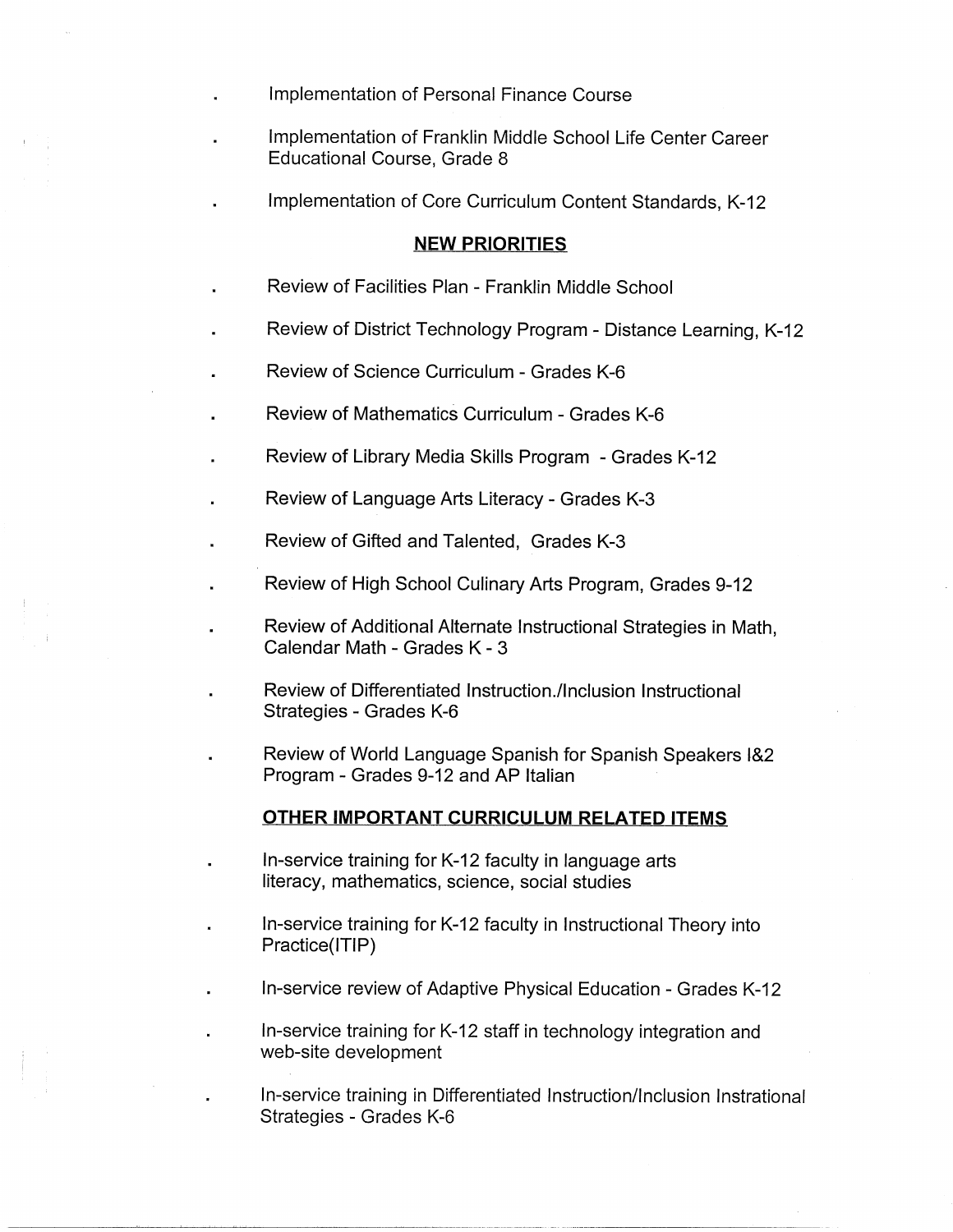- Implementation of Personal Finance Course
- Implementation of Franklin Middle School Life Center Career Educational Course, Grade 8
- Implementation of Core Curriculum Content Standards, K-12

### **NEW PRIORITIES**

- Review of Facilities Plan Franklin Middle School
- Review of District Technology Program Distance Learning, K-12
- Review of Science Curriculum Grades K-6
- Review of Mathematics Curriculum Grades K-6
- Review of Library Media Skills Program Grades K-12
- Review of Language Arts Literacy Grades K-3
- Review of Gifted and Talented, Grades K-3
- Review of High School Culinary Arts Program, Grades 9-12
	- Review of Additional Alternate Instructional Strategies in Math, Calendar Math - Grades K - 3
		- Review of Differentiated lnstruction./lnclusion Instructional Strategies - Grades K-6
- Review of World Language Spanish for Spanish Speakers i&2 Program - Grades 9-12 and AP Italian

#### **OTHER IMPORTANT CURRICULUM RELATED ITEMS**

- In-service training for K-12 faculty in language arts literacy, mathematics, science, social studies
- In-service training for K-12 faculty in Instructional Theory into Practice{ITIP)
- In-service review of Adaptive Physical Education Grades K-12
- In-service training for K-12 staff in technology integration and web-site development
	- In-service training in Differentiated Instruction/Inclusion lnstrational Strategies - Grades K-6